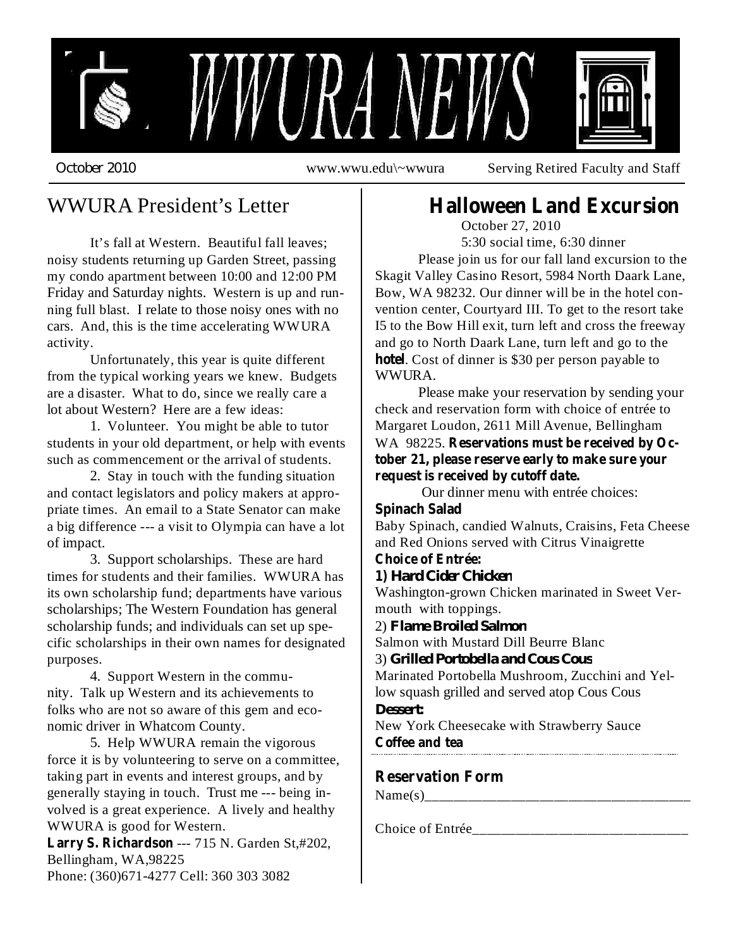

WWURA President's Letter

It's fall at Western. Beautiful fall leaves; noisy students returning up Garden Street, passing my condo apartment between 10:00 and 12:00 PM Friday and Saturday nights. Western is up and running full blast. I relate to those noisy ones with no cars. And, this is the time accelerating WWURA activity.

Unfortunately, this year is quite different from the typical working years we knew. Budgets are a disaster. What to do, since we really care a lot about Western? Here are a few ideas:

1. Volunteer. You might be able to tutor students in your old department, or help with events such as commencement or the arrival of students.

2. Stay in touch with the funding situation and contact legislators and policy makers at appropriate times. An email to a State Senator can make a big difference --- a visit to Olympia can have a lot of impact.

3. Support scholarships. These are hard times for students and their families. WWURA has its own scholarship fund; departments have various scholarships; The Western Foundation has general scholarship funds; and individuals can set up specific scholarships in their own names for designated purposes.

4. Support Western in the community. Talk up Western and its achievements to folks who are not so aware of this gem and economic driver in Whatcom County.

5. Help WWURA remain the vigorous force it is by volunteering to serve on a committee, taking part in events and interest groups, and by generally staying in touch. Trust me --- being involved is a great experience. A lively and healthy WWURA is good for Western.

Larry S. Richardson --- 715 N. Garden St,#202, Bellingham, WA,98225 Phone: (360)671-4277 Cell: 360 303 3082

# **Halloween Land Excursion**

October 27, 2010 5:30 social time, 6:30 dinner

Please join us for our fall land excursion to the Skagit Valley Casino Resort, 5984 North Daark Lane, Bow, WA 98232. Our dinner will be in the hotel convention center, Courtyard III. To get to the resort take I5 to the Bow Hill exit, turn left and cross the freeway and go to North Daark Lane, turn left and go to the hotel. Cost of dinner is \$30 per person payable to WWURA.

Please make your reservation by sending your check and reservation form with choice of entrée to Margaret Loudon, 2611 Mill Avenue, Bellingham WA 98225. **Reservations must be received by October 21, please reserve early to make sure your request is received by cutoff date.**

Our dinner menu with entrée choices:

#### **Spinach Salad**

Baby Spinach, candied Walnuts, Craisins, Feta Cheese and Red Onions served with Citrus Vinaigrette

# **Choice of Entrée:**

**1)** *Hard Cider Chicken*

Washington-grown Chicken marinated in Sweet Vermouth with toppings.

2) *Flame Broiled Salmon*

Salmon with Mustard Dill Beurre Blanc

3) *Grilled Portobella and Cous Cous*

Marinated Portobella Mushroom, Zucchini and Yellow squash grilled and served atop Cous Cous *Dessert:*

New York Cheesecake with Strawberry Sauce

**Coffee and tea**

# **Reservation Form**

 $Name(s)$ 

Choice of Entrée\_\_\_\_\_\_\_\_\_\_\_\_\_\_\_\_\_\_\_\_\_\_\_\_\_\_\_\_\_\_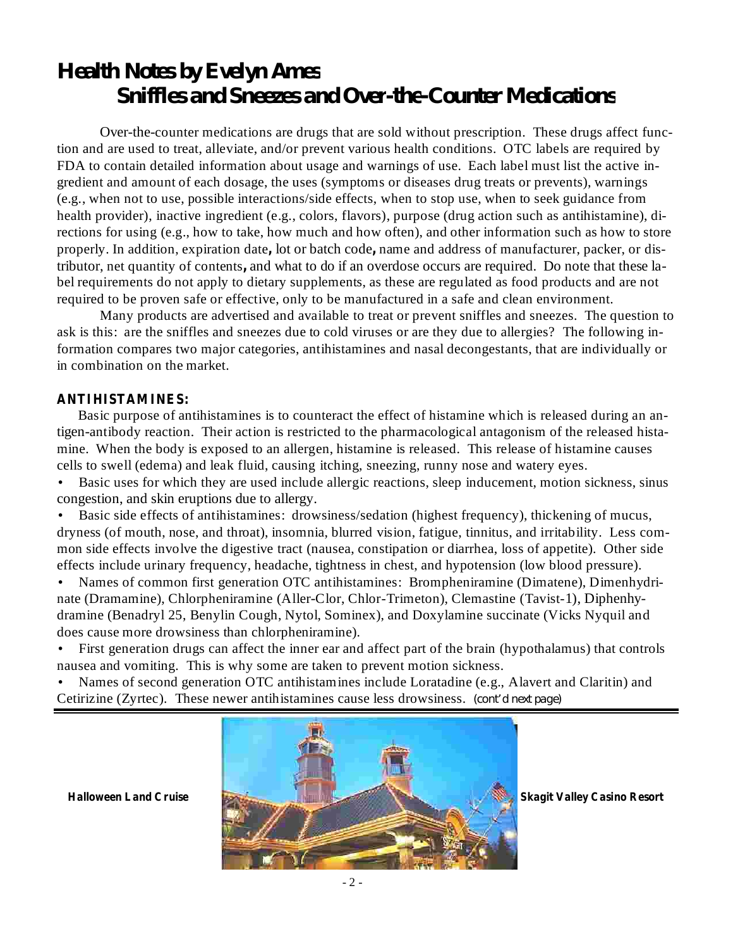# *Health Notes by Evelyn Ames Snif les and Sneezes and Over-the-Counter Medications*

Over-the-counter medications are drugs that are sold without prescription. These drugs affect function and are used to treat, alleviate, and/or prevent various health conditions. OTC labels are required by FDA to contain detailed information about usage and warnings of use. Each label must list the active ingredient and amount of each dosage, the uses (symptoms or diseases drug treats or prevents), warnings (e.g., when not to use, possible interactions/side effects, when to stop use, when to seek guidance from health provider), inactive ingredient (e.g., colors, flavors), purpose (drug action such as antihistamine), directions for using (e.g., how to take, how much and how often), and other information such as how to store properly. In addition, expiration date, lot or batch code, name and address of manufacturer, packer, or distributor, net quantity of contents, and what to do if an overdose occurs are required. Do note that these label requirements do not apply to dietary supplements, as these are regulated as food products and are not required to be proven safe or effective, only to be manufactured in a safe and clean environment.

Many products are advertised and available to treat or prevent sniffles and sneezes. The question to ask is this: are the sniffles and sneezes due to cold viruses or are they due to allergies? The following information compares two major categories, antihistamines and nasal decongestants, that are individually or in combination on the market.

#### **ANTIHISTAMINES:**

Basic purpose of antihistamines is to counteract the effect of histamine which is released during an antigen-antibody reaction. Their action is restricted to the pharmacological antagonism of the released histamine. When the body is exposed to an allergen, histamine is released. This release of histamine causes cells to swell (edema) and leak fluid, causing itching, sneezing, runny nose and watery eyes.

Basic uses for which they are used include allergic reactions, sleep inducement, motion sickness, sinus congestion, and skin eruptions due to allergy. •

Basic side effects of antihistamines: drowsiness/sedation (highest frequency), thickening of mucus, dryness (of mouth, nose, and throat), insomnia, blurred vision, fatigue, tinnitus, and irritability. Less common side effects involve the digestive tract (nausea, constipation or diarrhea, loss of appetite). Other side effects include urinary frequency, headache, tightness in chest, and hypotension (low blood pressure). •

Names of common first generation OTC antihistamines: Brompheniramine (Dimatene), Dimenhydrinate (Dramamine), Chlorpheniramine (Aller-Clor, Chlor-Trimeton), Clemastine (Tavist-1), Diphenhydramine (Benadryl 25, Benylin Cough, Nytol, Sominex), and Doxylamine succinate (Vicks Nyquil and does cause more drowsiness than chlorpheniramine). •

First generation drugs can affect the inner ear and affect part of the brain (hypothalamus) that controls nausea and vomiting. This is why some are taken to prevent motion sickness. •

Names of second generation OTC antihistamines include Loratadine (e.g., Alavert and Claritin) and Cetirizine (Zyrtec). These newer antihistamines cause less drowsiness. *(cont'd next page)*•

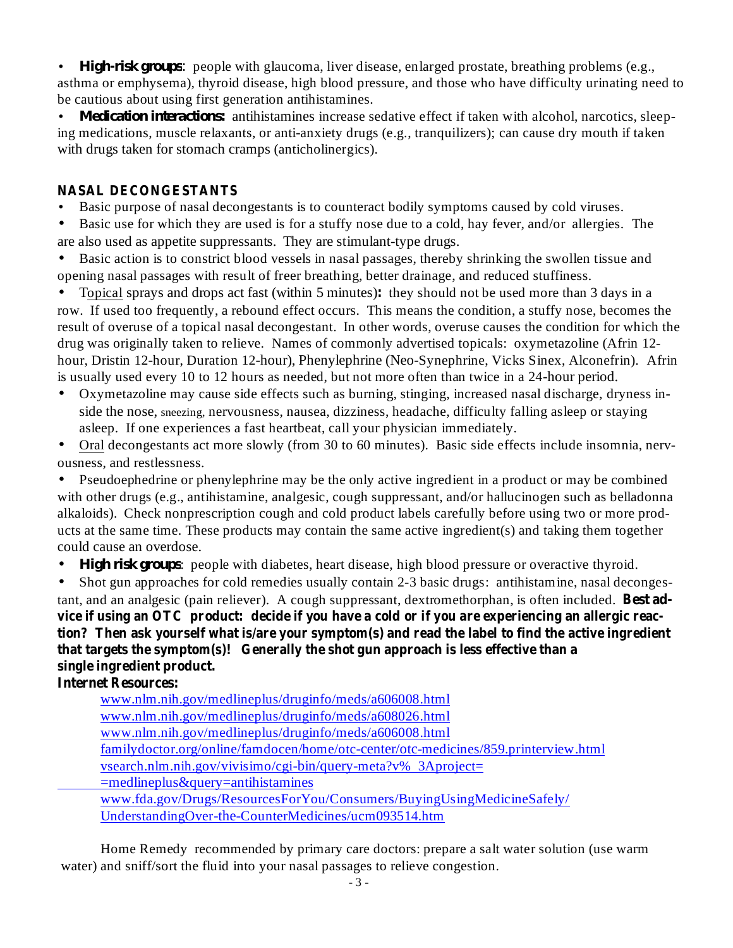• *High-risk groups:* people with glaucoma, liver disease, enlarged prostate, breathing problems (e.g., asthma or emphysema), thyroid disease, high blood pressure, and those who have difficulty urinating need to be cautious about using first generation antihistamines.

• *Medication interactions:* antihistamines increase sedative effect if taken with alcohol, narcotics, sleeping medications, muscle relaxants, or anti-anxiety drugs (e.g., tranquilizers); can cause dry mouth if taken with drugs taken for stomach cramps (anticholinergics).

# **NASAL DECONGESTANTS**

- Basic purpose of nasal decongestants is to counteract bodily symptoms caused by cold viruses.
- Basic use for which they are used is for a stuffy nose due to a cold, hay fever, and/or allergies. The are also used as appetite suppressants. They are stimulant-type drugs.

• Basic action is to constrict blood vessels in nasal passages, thereby shrinking the swollen tissue and opening nasal passages with result of freer breathing, better drainage, and reduced stuffiness.

Topical sprays and drops act fast (within 5 minutes): they should not be used more than 3 days in a • row. If used too frequently, a rebound effect occurs. This means the condition, a stuffy nose, becomes the result of overuse of a topical nasal decongestant. In other words, overuse causes the condition for which the drug was originally taken to relieve. Names of commonly advertised topicals: oxymetazoline (Afrin 12 hour, Dristin 12-hour, Duration 12-hour), Phenylephrine (Neo-Synephrine, Vicks Sinex, Alconefrin). Afrin is usually used every 10 to 12 hours as needed, but not more often than twice in a 24-hour period.

- Oxymetazoline may cause side effects such as burning, stinging, increased nasal discharge, dryness inside the nose, sneezing, nervousness, nausea, dizziness, headache, difficulty falling asleep or staying asleep. If one experiences a fast heartbeat, call your physician immediately.
- Oral decongestants act more slowly (from 30 to 60 minutes). Basic side effects include insomnia, nervousness, and restlessness.

 $\bullet$ Pseudoephedrine or phenylephrine may be the only active ingredient in a product or may be combined with other drugs (e.g., antihistamine, analgesic, cough suppressant, and/or hallucinogen such as belladonna alkaloids). Check nonprescription cough and cold product labels carefully before using two or more products at the same time. These products may contain the same active ingredient(s) and taking them together could cause an overdose.

 $\bullet$ High *risk groups*: people with diabetes, heart disease, high blood pressure or overactive thyroid.

tant, and an analgesic (pain reliever). A cough suppressant, dextromethorphan, is often included. Best advice if using an OTC product: decide if you have a cold or if you are experiencing an allergic reac**tion? Then ask yourself what is/are your symptom(s) and read the label to find the active ingredient that targets the symptom(s)! Generally the shot gun approach is less effective than a single ingredient product.**  $\bullet$ Shot gun approaches for cold remedies usually contain 2-3 basic drugs: antihistamine, nasal deconges-

# **Internet Resources:**

www.nlm.nih.gov/medlineplus/druginfo/meds/a606008.html www.nlm.nih.gov/medlineplus/druginfo/meds/a608026.html www.nlm.nih.gov/medlineplus/druginfo/meds/a606008.html familydoctor.org/online/famdocen/home/otc-center/otc-medicines/859.printerview.html vsearch.nlm.nih.gov/vivisimo/cgi-bin/query-meta?v% 3Aproject= =medlineplus&query=antihistamines www.fda.gov/Drugs/ResourcesForYou/Consumers/BuyingUsingMedicineSafely/

UnderstandingOver-the-CounterMedicines/ucm093514.htm

Home Remedy recommended by primary care doctors: prepare a salt water solution (use warm water) and sniff/sort the fluid into your nasal passages to relieve congestion.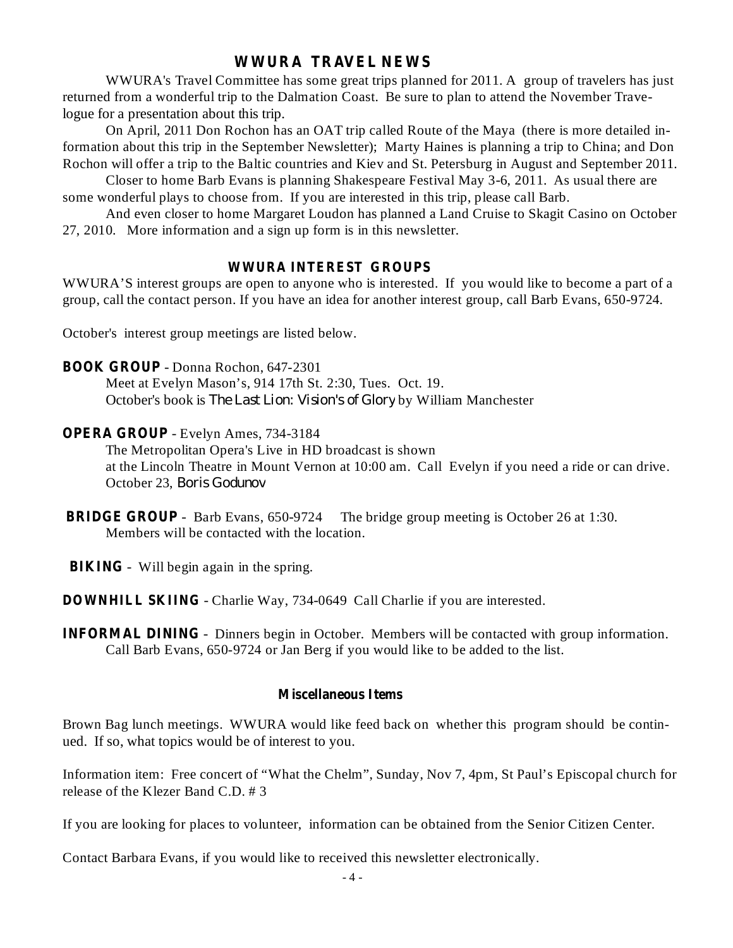# **WWURA TRAVEL NEWS**

WWURA's Travel Committee has some great trips planned for 2011. A group of travelers has just returned from a wonderful trip to the Dalmation Coast. Be sure to plan to attend the November Travelogue for a presentation about this trip.

On April, 2011 Don Rochon has an OAT trip called Route of the Maya (there is more detailed information about this trip in the September Newsletter); Marty Haines is planning a trip to China; and Don Rochon will offer a trip to the Baltic countries and Kiev and St. Petersburg in August and September 2011.

Closer to home Barb Evans is planning Shakespeare Festival May 3-6, 2011. As usual there are some wonderful plays to choose from. If you are interested in this trip, please call Barb.

And even closer to home Margaret Loudon has planned a Land Cruise to Skagit Casino on October 27, 2010. More information and a sign up form is in this newsletter.

#### **WWURA INTEREST GROUPS**

WWURA'S interest groups are open to anyone who is interested. If you would like to become a part of a group, call the contact person. If you have an idea for another interest group, call Barb Evans, 650-9724.

October's interest group meetings are listed below.

#### **BOOK GROUP** - Donna Rochon, 647-2301

Meet at Evelyn Mason's, 914 17th St. 2:30, Tues. Oct. 19. October's book is *The Last Lion: Vision's of Glory* by William Manchester

#### **OPERA GROUP** - Evelyn Ames, 734-3184

The Metropolitan Opera's Live in HD broadcast is shown at the Lincoln Theatre in Mount Vernon at 10:00 am. Call Evelyn if you need a ride or can drive. October 23, *Boris Godunov*

- **BRIDGE GROUP** Barb Evans, 650-9724 The bridge group meeting is October 26 at 1:30. Members will be contacted with the location.
- **BIKING** Will begin again in the spring.

**DOWNHILL SKIING** - Charlie Way, 734-0649 Call Charlie if you are interested.

**INFORMAL DINING** - Dinners begin in October. Members will be contacted with group information. Call Barb Evans, 650-9724 or Jan Berg if you would like to be added to the list.

#### **Miscellaneous Items**

Brown Bag lunch meetings. WWURA would like feed back on whether this program should be continued. If so, what topics would be of interest to you.

Information item: Free concert of "What the Chelm", Sunday, Nov 7, 4pm, St Paul's Episcopal church for release of the Klezer Band C.D. # 3

If you are looking for places to volunteer, information can be obtained from the Senior Citizen Center.

Contact Barbara Evans, if you would like to received this newsletter electronically.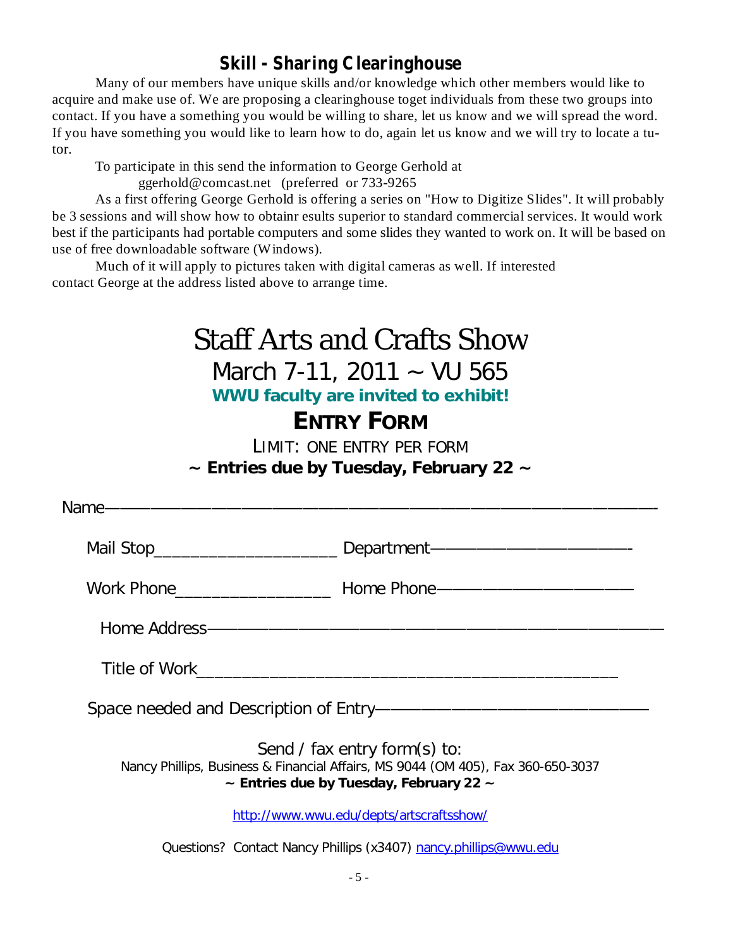# **Skill - Sharing Clearinghouse**

Many of our members have unique skills and/or knowledge which other members would like to acquire and make use of. We are proposing a clearinghouse toget individuals from these two groups into contact. If you have a something you would be willing to share, let us know and we will spread the word. If you have something you would like to learn how to do, again let us know and we will try to locate a tutor.

To participate in this send the information to George Gerhold at

ggerhold@comcast.net (preferred or 733-9265

As a first offering George Gerhold is offering a series on "How to Digitize Slides". It will probably be 3 sessions and will show how to obtainr esults superior to standard commercial services. It would work best if the participants had portable computers and some slides they wanted to work on. It will be based on use of free downloadable software (Windows).

Much of it will apply to pictures taken with digital cameras as well. If interested contact George at the address listed above to arrange time.

| Staff Arts and Crafts Show<br>March 7-11, 2011 $\sim$ VU 565<br>WWU faculty are invited to exhibit!<br><b>ENTRY FORM</b><br>LIMIT: ONE ENTRY PER FORM<br>$\sim$ Entries due by Tuesday, February 22 $\sim$ |                                                                                   |
|------------------------------------------------------------------------------------------------------------------------------------------------------------------------------------------------------------|-----------------------------------------------------------------------------------|
| Name----------------------------------                                                                                                                                                                     |                                                                                   |
|                                                                                                                                                                                                            | Mail Stop_______________________________ Department------------------------------ |
|                                                                                                                                                                                                            | Work Phone________________________ Home Phone-----------------------------------  |
|                                                                                                                                                                                                            |                                                                                   |
|                                                                                                                                                                                                            |                                                                                   |
|                                                                                                                                                                                                            |                                                                                   |
| Send / fax entry form(s) to:<br>Nancy Phillips, Business & Financial Affairs, MS 9044 (OM 405), Fax 360-650-3037<br>$\sim$ Entries due by Tuesday, February 22 $\sim$                                      |                                                                                   |

http://www.wwu.edu/depts/artscraftsshow/

Questions? Contact Nancy Phillips (x3407) nancy.phillips@wwu.edu